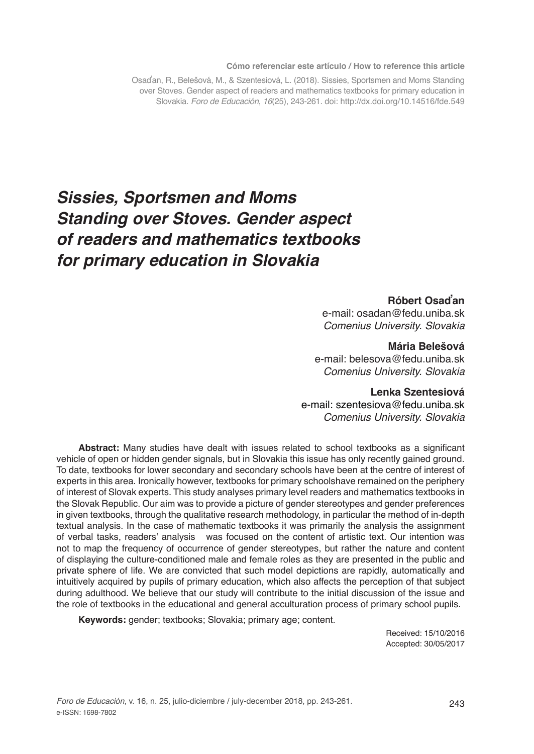#### **Cómo referenciar este artículo / How to reference this article**

Osaďan, R., Belešová, M., & Szentesiová, L. (2018). Sissies, Sportsmen and Moms Standing over Stoves. Gender aspect of readers and mathematics textbooks for primary education in Slovakia. *Foro de Educación*, *16*(25), 243-261. doi: http://dx.doi.org/10.14516/fde.549

# *Sissies, Sportsmen and Moms Standing over Stoves. Gender aspect of readers and mathematics textbooks for primary education in Slovakia*

#### **Róbert Osaďan**

e-mail: osadan@fedu.uniba.sk *Comenius University. Slovakia*

#### **Mária Belešová**

e-mail: belesova@fedu.uniba.sk *Comenius University. Slovakia*

#### **Lenka Szentesiová**

e-mail: szentesiova@fedu.uniba.sk *Comenius University. Slovakia*

**Abstract:** Many studies have dealt with issues related to school textbooks as a significant vehicle of open or hidden gender signals, but in Slovakia this issue has only recently gained ground. To date, textbooks for lower secondary and secondary schools have been at the centre of interest of experts in this area. Ironically however, textbooks for primary schoolshave remained on the periphery of interest of Slovak experts. This study analyses primary level readers and mathematics textbooks in the Slovak Republic. Our aim was to provide a picture of gender stereotypes and gender preferences in given textbooks, through the qualitative research methodology, in particular the method of in-depth textual analysis. In the case of mathematic textbooks it was primarily the analysis the assignment of verbal tasks, readers' analysis was focused on the content of artistic text. Our intention was not to map the frequency of occurrence of gender stereotypes, but rather the nature and content of displaying the culture-conditioned male and female roles as they are presented in the public and private sphere of life. We are convicted that such model depictions are rapidly, automatically and intuitively acquired by pupils of primary education, which also affects the perception of that subject during adulthood. We believe that our study will contribute to the initial discussion of the issue and the role of textbooks in the educational and general acculturation process of primary school pupils.

**Keywords:** gender; textbooks; Slovakia; primary age; content.

Received: 15/10/2016 Accepted: 30/05/2017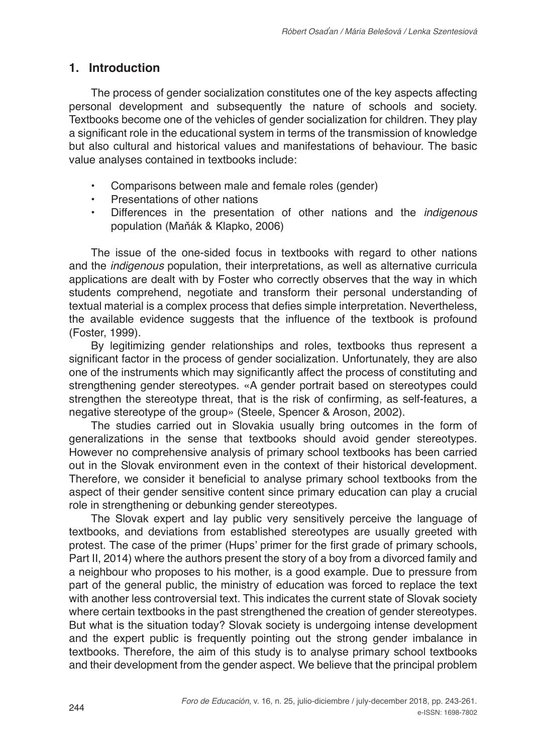# **1. Introduction**

The process of gender socialization constitutes one of the key aspects affecting personal development and subsequently the nature of schools and society. Textbooks become one of the vehicles of gender socialization for children. They play a significant role in the educational system in terms of the transmission of knowledge but also cultural and historical values and manifestations of behaviour. The basic value analyses contained in textbooks include:

- **•** Comparisons between male and female roles (gender)
- **•** Presentations of other nations
- **•** Differences in the presentation of other nations and the *indigenous* population (Maňák & Klapko, 2006)

The issue of the one-sided focus in textbooks with regard to other nations and the *indigenous* population, their interpretations, as well as alternative curricula applications are dealt with by Foster who correctly observes that the way in which students comprehend, negotiate and transform their personal understanding of textual material is a complex process that defies simple interpretation. Nevertheless, the available evidence suggests that the influence of the textbook is profound (Foster, 1999).

By legitimizing gender relationships and roles, textbooks thus represent a significant factor in the process of gender socialization. Unfortunately, they are also one of the instruments which may significantly affect the process of constituting and strengthening gender stereotypes. «A gender portrait based on stereotypes could strengthen the stereotype threat, that is the risk of confirming, as self-features, a negative stereotype of the group» (Steele, Spencer & Aroson, 2002).

The studies carried out in Slovakia usually bring outcomes in the form of generalizations in the sense that textbooks should avoid gender stereotypes. However no comprehensive analysis of primary school textbooks has been carried out in the Slovak environment even in the context of their historical development. Therefore, we consider it beneficial to analyse primary school textbooks from the aspect of their gender sensitive content since primary education can play a crucial role in strengthening or debunking gender stereotypes.

The Slovak expert and lay public very sensitively perceive the language of textbooks, and deviations from established stereotypes are usually greeted with protest. The case of the primer (Hups' primer for the first grade of primary schools, Part II, 2014) where the authors present the story of a boy from a divorced family and a neighbour who proposes to his mother, is a good example. Due to pressure from part of the general public, the ministry of education was forced to replace the text with another less controversial text. This indicates the current state of Slovak society where certain textbooks in the past strengthened the creation of gender stereotypes. But what is the situation today? Slovak society is undergoing intense development and the expert public is frequently pointing out the strong gender imbalance in textbooks. Therefore, the aim of this study is to analyse primary school textbooks and their development from the gender aspect. We believe that the principal problem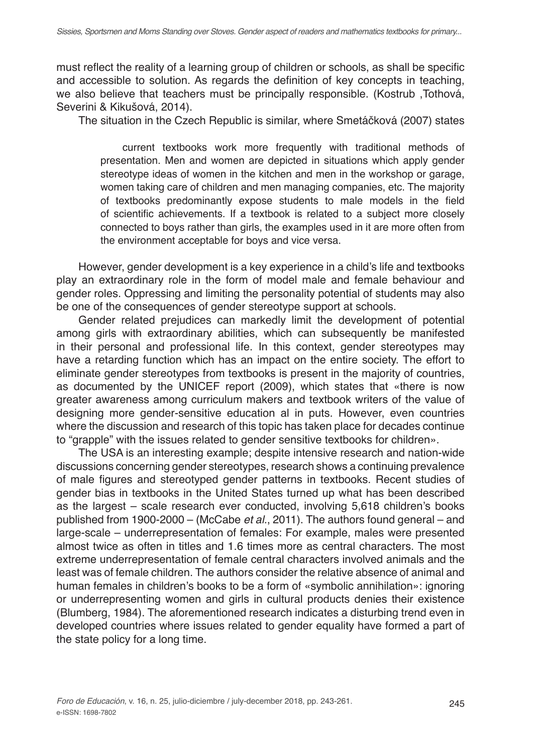must reflect the reality of a learning group of children or schools, as shall be specific and accessible to solution. As regards the definition of key concepts in teaching, we also believe that teachers must be principally responsible. (Kostrub ,Tothová, Severini & Kikušová, 2014).

The situation in the Czech Republic is similar, where Smetáčková (2007) states

current textbooks work more frequently with traditional methods of presentation. Men and women are depicted in situations which apply gender stereotype ideas of women in the kitchen and men in the workshop or garage, women taking care of children and men managing companies, etc. The majority of textbooks predominantly expose students to male models in the field of scientific achievements. If a textbook is related to a subject more closely connected to boys rather than girls, the examples used in it are more often from the environment acceptable for boys and vice versa.

However, gender development is a key experience in a child's life and textbooks play an extraordinary role in the form of model male and female behaviour and gender roles. Oppressing and limiting the personality potential of students may also be one of the consequences of gender stereotype support at schools.

Gender related prejudices can markedly limit the development of potential among girls with extraordinary abilities, which can subsequently be manifested in their personal and professional life. In this context, gender stereotypes may have a retarding function which has an impact on the entire society. The effort to eliminate gender stereotypes from textbooks is present in the majority of countries, as documented by the UNICEF report (2009), which states that «there is now greater awareness among curriculum makers and textbook writers of the value of designing more gender-sensitive education al in puts. However, even countries where the discussion and research of this topic has taken place for decades continue to "grapple" with the issues related to gender sensitive textbooks for children».

The USA is an interesting example; despite intensive research and nation-wide discussions concerning gender stereotypes, research shows a continuing prevalence of male figures and stereotyped gender patterns in textbooks. Recent studies of gender bias in textbooks in the United States turned up what has been described as the largest – scale research ever conducted, involving 5,618 children's books published from 1900-2000 – (McCabe *et al.*, 2011). The authors found general – and large-scale – underrepresentation of females: For example, males were presented almost twice as often in titles and 1.6 times more as central characters. The most extreme underrepresentation of female central characters involved animals and the least was of female children. The authors consider the relative absence of animal and human females in children's books to be a form of «symbolic annihilation»: ignoring or underrepresenting women and girls in cultural products denies their existence (Blumberg, 1984). The aforementioned research indicates a disturbing trend even in developed countries where issues related to gender equality have formed a part of the state policy for a long time.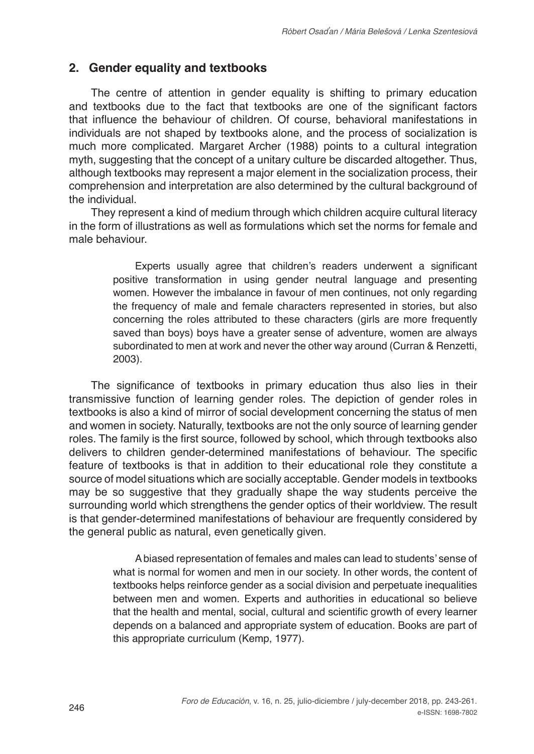# **2. Gender equality and textbooks**

The centre of attention in gender equality is shifting to primary education and textbooks due to the fact that textbooks are one of the significant factors that influence the behaviour of children. Of course, behavioral manifestations in individuals are not shaped by textbooks alone, and the process of socialization is much more complicated. Margaret Archer (1988) points to a cultural integration myth, suggesting that the concept of a unitary culture be discarded altogether. Thus, although textbooks may represent a major element in the socialization process, their comprehension and interpretation are also determined by the cultural background of the individual.

They represent a kind of medium through which children acquire cultural literacy in the form of illustrations as well as formulations which set the norms for female and male behaviour.

> Experts usually agree that children's readers underwent a significant positive transformation in using gender neutral language and presenting women. However the imbalance in favour of men continues, not only regarding the frequency of male and female characters represented in stories, but also concerning the roles attributed to these characters (girls are more frequently saved than boys) boys have a greater sense of adventure, women are always subordinated to men at work and never the other way around (Curran & Renzetti, 2003).

The significance of textbooks in primary education thus also lies in their transmissive function of learning gender roles. The depiction of gender roles in textbooks is also a kind of mirror of social development concerning the status of men and women in society. Naturally, textbooks are not the only source of learning gender roles. The family is the first source, followed by school, which through textbooks also delivers to children gender-determined manifestations of behaviour. The specific feature of textbooks is that in addition to their educational role they constitute a source of model situations which are socially acceptable. Gender models in textbooks may be so suggestive that they gradually shape the way students perceive the surrounding world which strengthens the gender optics of their worldview. The result is that gender-determined manifestations of behaviour are frequently considered by the general public as natural, even genetically given.

> A biased representation of females and males can lead to students' sense of what is normal for women and men in our society. In other words, the content of textbooks helps reinforce gender as a social division and perpetuate inequalities between men and women. Experts and authorities in educational so believe that the health and mental, social, cultural and scientific growth of every learner depends on a balanced and appropriate system of education. Books are part of this appropriate curriculum (Kemp, 1977).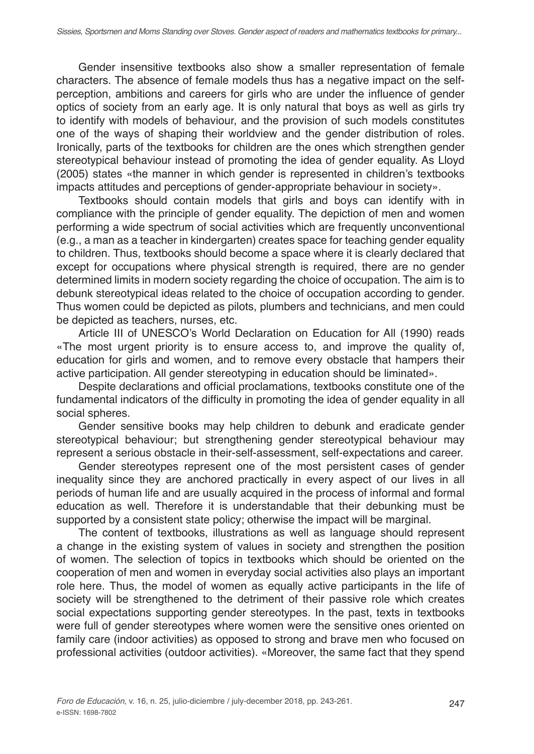Gender insensitive textbooks also show a smaller representation of female characters. The absence of female models thus has a negative impact on the selfperception, ambitions and careers for girls who are under the influence of gender optics of society from an early age. It is only natural that boys as well as girls try to identify with models of behaviour, and the provision of such models constitutes one of the ways of shaping their worldview and the gender distribution of roles. Ironically, parts of the textbooks for children are the ones which strengthen gender stereotypical behaviour instead of promoting the idea of gender equality. As Lloyd (2005) states «the manner in which gender is represented in children's textbooks impacts attitudes and perceptions of gender-appropriate behaviour in society».

Textbooks should contain models that girls and boys can identify with in compliance with the principle of gender equality. The depiction of men and women performing a wide spectrum of social activities which are frequently unconventional (e.g., a man as a teacher in kindergarten) creates space for teaching gender equality to children. Thus, textbooks should become a space where it is clearly declared that except for occupations where physical strength is required, there are no gender determined limits in modern society regarding the choice of occupation. The aim is to debunk stereotypical ideas related to the choice of occupation according to gender. Thus women could be depicted as pilots, plumbers and technicians, and men could be depicted as teachers, nurses, etc.

Article III of UNESCO's World Declaration on Education for All (1990) reads «The most urgent priority is to ensure access to, and improve the quality of, education for girls and women, and to remove every obstacle that hampers their active participation. All gender stereotyping in education should be liminated».

Despite declarations and official proclamations, textbooks constitute one of the fundamental indicators of the difficulty in promoting the idea of gender equality in all social spheres.

Gender sensitive books may help children to debunk and eradicate gender stereotypical behaviour; but strengthening gender stereotypical behaviour may represent a serious obstacle in their-self-assessment, self-expectations and career.

Gender stereotypes represent one of the most persistent cases of gender inequality since they are anchored practically in every aspect of our lives in all periods of human life and are usually acquired in the process of informal and formal education as well. Therefore it is understandable that their debunking must be supported by a consistent state policy; otherwise the impact will be marginal.

The content of textbooks, illustrations as well as language should represent a change in the existing system of values in society and strengthen the position of women. The selection of topics in textbooks which should be oriented on the cooperation of men and women in everyday social activities also plays an important role here. Thus, the model of women as equally active participants in the life of society will be strengthened to the detriment of their passive role which creates social expectations supporting gender stereotypes. In the past, texts in textbooks were full of gender stereotypes where women were the sensitive ones oriented on family care (indoor activities) as opposed to strong and brave men who focused on professional activities (outdoor activities). «Moreover, the same fact that they spend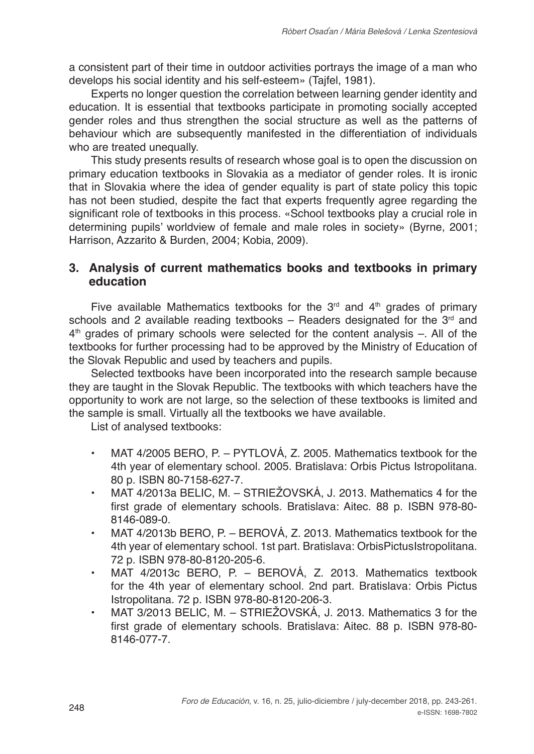a consistent part of their time in outdoor activities portrays the image of a man who develops his social identity and his self-esteem» (Tajfel, 1981).

Experts no longer question the correlation between learning gender identity and education. It is essential that textbooks participate in promoting socially accepted gender roles and thus strengthen the social structure as well as the patterns of behaviour which are subsequently manifested in the differentiation of individuals who are treated unequally.

This study presents results of research whose goal is to open the discussion on primary education textbooks in Slovakia as a mediator of gender roles. It is ironic that in Slovakia where the idea of gender equality is part of state policy this topic has not been studied, despite the fact that experts frequently agree regarding the significant role of textbooks in this process. «School textbooks play a crucial role in determining pupils' worldview of female and male roles in society» (Byrne, 2001; Harrison, Azzarito & Burden, 2004; Kobia, 2009).

# **3. Analysis of current mathematics books and textbooks in primary education**

Five available Mathematics textbooks for the  $3<sup>rd</sup>$  and  $4<sup>th</sup>$  grades of primary schools and 2 available reading textbooks – Readers designated for the  $3<sup>rd</sup>$  and  $4<sup>th</sup>$  grades of primary schools were selected for the content analysis –. All of the textbooks for further processing had to be approved by the Ministry of Education of the Slovak Republic and used by teachers and pupils.

Selected textbooks have been incorporated into the research sample because they are taught in the Slovak Republic. The textbooks with which teachers have the opportunity to work are not large, so the selection of these textbooks is limited and the sample is small. Virtually all the textbooks we have available.

List of analysed textbooks:

- **•** MAT 4/2005 BERO, P. PYTLOVÁ, Z. 2005. Mathematics textbook for the 4th year of elementary school. 2005. Bratislava: Orbis Pictus Istropolitana. 80 p. ISBN 80-7158-627-7.
- **•** MAT 4/2013a BELIC, M. STRIEŽOVSKÁ, J. 2013. Mathematics 4 for the first grade of elementary schools. Bratislava: Aitec. 88 p. ISBN 978-80- 8146-089-0.
- **•** MAT 4/2013b BERO, P. BEROVÁ, Z. 2013. Mathematics textbook for the 4th year of elementary school. 1st part. Bratislava: OrbisPictusIstropolitana. 72 p. ISBN 978-80-8120-205-6.
- **•** MAT 4/2013c BERO, P. BEROVÁ, Z. 2013. Mathematics textbook for the 4th year of elementary school. 2nd part. Bratislava: Orbis Pictus Istropolitana. 72 p. ISBN 978-80-8120-206-3.
- **•** MAT 3/2013 BELIC, M. STRIEŽOVSKÁ, J. 2013. Mathematics 3 for the first grade of elementary schools. Bratislava: Aitec. 88 p. ISBN 978-80- 8146-077-7.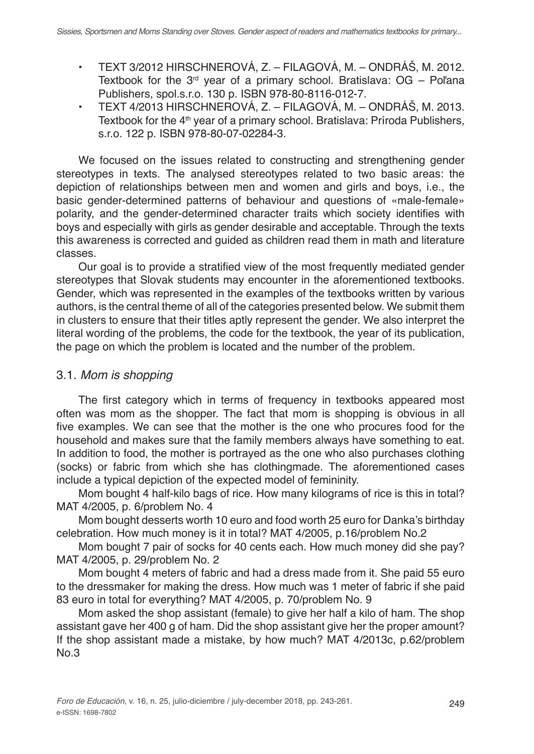- **•** TEXT 3/2012 HIRSCHNEROVÁ, Z. FILAGOVÁ, M. ONDRÁŠ, M. 2012. Textbook for the  $3<sup>rd</sup>$  year of a primary school. Bratislava: OG – Poľana Publishers, spol.s.r.o. 130 p. ISBN 978-80-8116-012-7.
- **•** TEXT 4/2013 HIRSCHNEROVÁ, Z. FILAGOVÁ, M. ONDRÁŠ, M. 2013. Textbook for the 4<sup>th</sup> year of a primary school. Bratislava: Príroda Publishers, s.r.o. 122 p. ISBN 978-80-07-02284-3.

We focused on the issues related to constructing and strengthening gender stereotypes in texts. The analysed stereotypes related to two basic areas: the depiction of relationships between men and women and girls and boys, i.e., the basic gender-determined patterns of behaviour and questions of «male-female» polarity, and the gender-determined character traits which society identifies with boys and especially with girls as gender desirable and acceptable. Through the texts this awareness is corrected and guided as children read them in math and literature classes.

Our goal is to provide a stratified view of the most frequently mediated gender stereotypes that Slovak students may encounter in the aforementioned textbooks. Gender, which was represented in the examples of the textbooks written by various authors, is the central theme of all of the categories presented below. We submit them in clusters to ensure that their titles aptly represent the gender. We also interpret the literal wording of the problems, the code for the textbook, the year of its publication, the page on which the problem is located and the number of the problem.

# 3.1. *Mom is shopping*

The first category which in terms of frequency in textbooks appeared most often was mom as the shopper. The fact that mom is shopping is obvious in all five examples. We can see that the mother is the one who procures food for the household and makes sure that the family members always have something to eat. In addition to food, the mother is portrayed as the one who also purchases clothing (socks) or fabric from which she has clothingmade. The aforementioned cases include a typical depiction of the expected model of femininity.

Mom bought 4 half-kilo bags of rice. How many kilograms of rice is this in total? MAT 4/2005, p. 6/problem No. 4

Mom bought desserts worth 10 euro and food worth 25 euro for Danka's birthday celebration. How much money is it in total? MAT 4/2005, p.16/problem No.2

Mom bought 7 pair of socks for 40 cents each. How much money did she pay? MAT 4/2005, p. 29/problem No. 2

Mom bought 4 meters of fabric and had a dress made from it. She paid 55 euro to the dressmaker for making the dress. How much was 1 meter of fabric if she paid 83 euro in total for everything? MAT 4/2005, p. 70/problem No. 9

Mom asked the shop assistant (female) to give her half a kilo of ham. The shop assistant gave her 400 g of ham. Did the shop assistant give her the proper amount? If the shop assistant made a mistake, by how much? MAT 4/2013c, p.62/problem No.3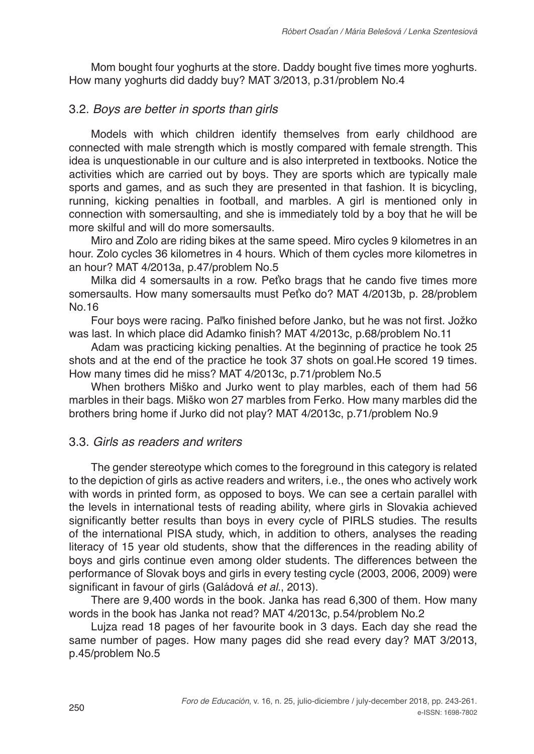Mom bought four yoghurts at the store. Daddy bought five times more yoghurts. How many yoghurts did daddy buy? MAT 3/2013, p.31/problem No.4

## 3.2. *Boys are better in sports than girls*

Models with which children identify themselves from early childhood are connected with male strength which is mostly compared with female strength. This idea is unquestionable in our culture and is also interpreted in textbooks. Notice the activities which are carried out by boys. They are sports which are typically male sports and games, and as such they are presented in that fashion. It is bicycling, running, kicking penalties in football, and marbles. A girl is mentioned only in connection with somersaulting, and she is immediately told by a boy that he will be more skilful and will do more somersaults.

Miro and Zolo are riding bikes at the same speed. Miro cycles 9 kilometres in an hour. Zolo cycles 36 kilometres in 4 hours. Which of them cycles more kilometres in an hour? MAT 4/2013a, p.47/problem No.5

Milka did 4 somersaults in a row. Peťko brags that he cando five times more somersaults. How many somersaults must Peťko do? MAT 4/2013b, p. 28/problem No.16

Four boys were racing. Paľko finished before Janko, but he was not first. Jožko was last. In which place did Adamko finish? MAT 4/2013c, p.68/problem No.11

Adam was practicing kicking penalties. At the beginning of practice he took 25 shots and at the end of the practice he took 37 shots on goal.He scored 19 times. How many times did he miss? MAT 4/2013c, p.71/problem No.5

When brothers Miško and Jurko went to play marbles, each of them had 56 marbles in their bags. Miško won 27 marbles from Ferko. How many marbles did the brothers bring home if Jurko did not play? MAT 4/2013c, p.71/problem No.9

## 3.3. *Girls as readers and writers*

The gender stereotype which comes to the foreground in this category is related to the depiction of girls as active readers and writers, i.e., the ones who actively work with words in printed form, as opposed to boys. We can see a certain parallel with the levels in international tests of reading ability, where girls in Slovakia achieved significantly better results than boys in every cycle of PIRLS studies. The results of the international PISA study, which, in addition to others, analyses the reading literacy of 15 year old students, show that the differences in the reading ability of boys and girls continue even among older students. The differences between the performance of Slovak boys and girls in every testing cycle (2003, 2006, 2009) were significant in favour of girls (Galádová *et al.*, 2013).

There are 9,400 words in the book. Janka has read 6,300 of them. How many words in the book has Janka not read? MAT 4/2013c, p.54/problem No.2

Lujza read 18 pages of her favourite book in 3 days. Each day she read the same number of pages. How many pages did she read every day? MAT 3/2013, p.45/problem No.5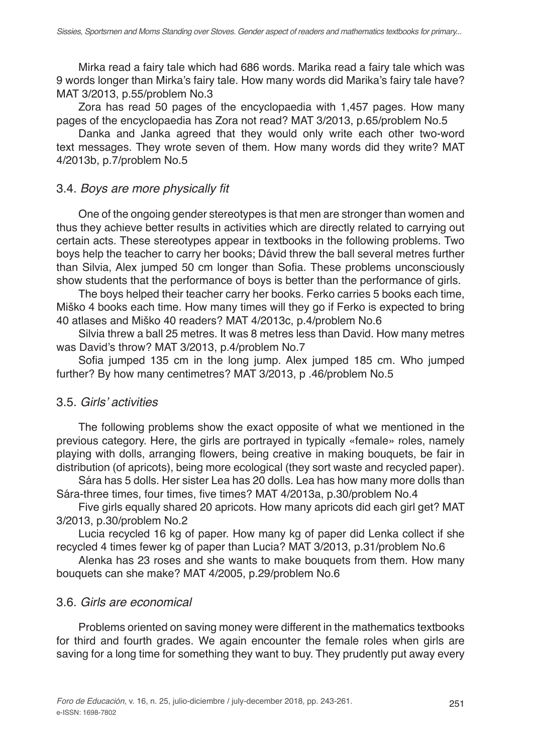Mirka read a fairy tale which had 686 words. Marika read a fairy tale which was 9 words longer than Mirka's fairy tale. How many words did Marika's fairy tale have? MAT 3/2013, p.55/problem No.3

Zora has read 50 pages of the encyclopaedia with 1,457 pages. How many pages of the encyclopaedia has Zora not read? MAT 3/2013, p.65/problem No.5

Danka and Janka agreed that they would only write each other two-word text messages. They wrote seven of them. How many words did they write? MAT 4/2013b, p.7/problem No.5

#### 3.4. Boys are more physically fit

One of the ongoing gender stereotypes is that men are stronger than women and thus they achieve better results in activities which are directly related to carrying out certain acts. These stereotypes appear in textbooks in the following problems. Two boys help the teacher to carry her books; Dávid threw the ball several metres further than Silvia, Alex jumped 50 cm longer than Sofia. These problems unconsciously show students that the performance of boys is better than the performance of girls.

The boys helped their teacher carry her books. Ferko carries 5 books each time, Miško 4 books each time. How many times will they go if Ferko is expected to bring 40 atlases and Miško 40 readers? MAT 4/2013c, p.4/problem No.6

Silvia threw a ball 25 metres. It was 8 metres less than David. How many metres was David's throw? MAT 3/2013, p.4/problem No.7

Sofia jumped 135 cm in the long jump. Alex jumped 185 cm. Who jumped further? By how many centimetres? MAT 3/2013, p .46/problem No.5

#### 3.5. Girls' activities

The following problems show the exact opposite of what we mentioned in the previous category. Here, the girls are portrayed in typically «female» roles, namely playing with dolls, arranging flowers, being creative in making bouquets, be fair in distribution (of apricots), being more ecological (they sort waste and recycled paper).

Sára has 5 dolls. Her sister Lea has 20 dolls. Lea has how many more dolls than Sára-three times, four times, five times? MAT 4/2013a, p.30/problem No.4

Five girls equally shared 20 apricots. How many apricots did each girl get? MAT 3/2013, p.30/problem No.2

Lucia recycled 16 kg of paper. How many kg of paper did Lenka collect if she recycled 4 times fewer kg of paper than Lucia? MAT 3/2013, p.31/problem No.6

Alenka has 23 roses and she wants to make bouquets from them. How many bouquets can she make? MAT 4/2005, p.29/problem No.6

## 3.6. *Girls are economical*

Problems oriented on saving money were different in the mathematics textbooks for third and fourth grades. We again encounter the female roles when girls are saving for a long time for something they want to buy. They prudently put away every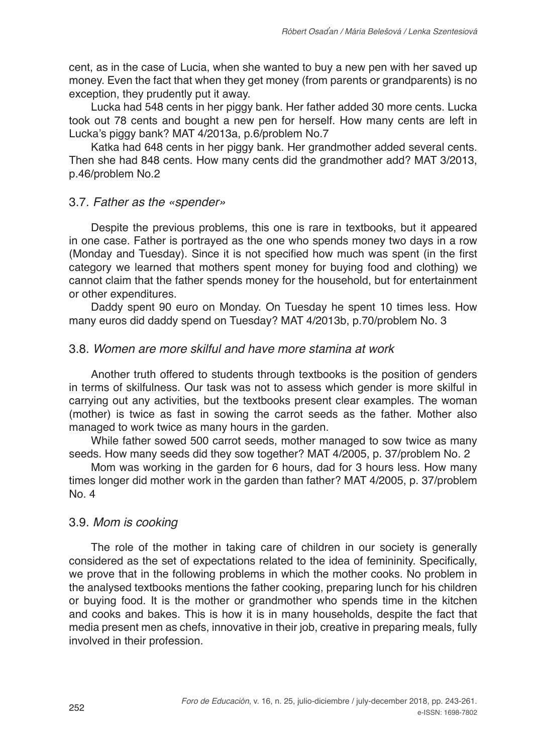cent, as in the case of Lucia, when she wanted to buy a new pen with her saved up money. Even the fact that when they get money (from parents or grandparents) is no exception, they prudently put it away.

Lucka had 548 cents in her piggy bank. Her father added 30 more cents. Lucka took out 78 cents and bought a new pen for herself. How many cents are left in Lucka's piggy bank? MAT 4/2013a, p.6/problem No.7

Katka had 648 cents in her piggy bank. Her grandmother added several cents. Then she had 848 cents. How many cents did the grandmother add? MAT 3/2013, p.46/problem No.2

## 3.7. *Father as the «spender»*

Despite the previous problems, this one is rare in textbooks, but it appeared in one case. Father is portrayed as the one who spends money two days in a row (Monday and Tuesday). Since it is not specified how much was spent (in the first category we learned that mothers spent money for buying food and clothing) we cannot claim that the father spends money for the household, but for entertainment or other expenditures.

Daddy spent 90 euro on Monday. On Tuesday he spent 10 times less. How many euros did daddy spend on Tuesday? MAT 4/2013b, p.70/problem No. 3

#### 3.8. *Women are more skilful and have more stamina at work*

Another truth offered to students through textbooks is the position of genders in terms of skilfulness. Our task was not to assess which gender is more skilful in carrying out any activities, but the textbooks present clear examples. The woman (mother) is twice as fast in sowing the carrot seeds as the father. Mother also managed to work twice as many hours in the garden.

While father sowed 500 carrot seeds, mother managed to sow twice as many seeds. How many seeds did they sow together? MAT 4/2005, p. 37/problem No. 2

Mom was working in the garden for 6 hours, dad for 3 hours less. How many times longer did mother work in the garden than father? MAT 4/2005, p. 37/problem No. 4

#### 3.9. *Mom is cooking*

The role of the mother in taking care of children in our society is generally considered as the set of expectations related to the idea of femininity. Specifically, we prove that in the following problems in which the mother cooks. No problem in the analysed textbooks mentions the father cooking, preparing lunch for his children or buying food. It is the mother or grandmother who spends time in the kitchen and cooks and bakes. This is how it is in many households, despite the fact that media present men as chefs, innovative in their job, creative in preparing meals, fully involved in their profession.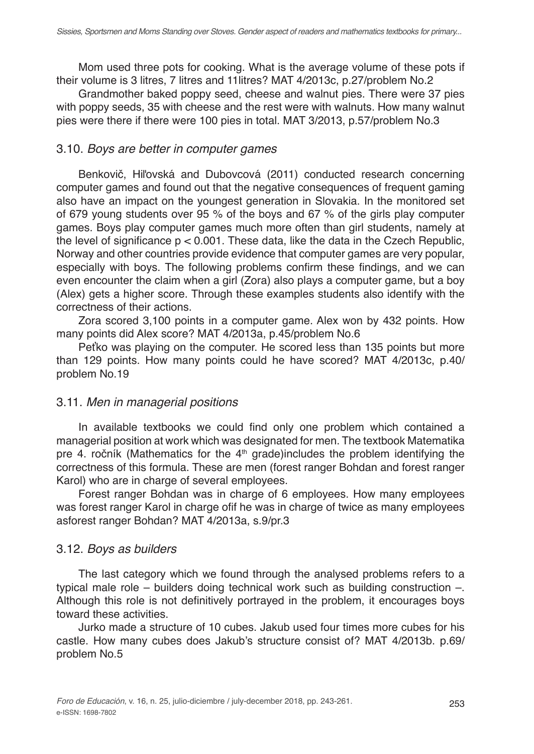Mom used three pots for cooking. What is the average volume of these pots if their volume is 3 litres, 7 litres and 11litres? MAT 4/2013c, p.27/problem No.2

Grandmother baked poppy seed, cheese and walnut pies. There were 37 pies with poppy seeds, 35 with cheese and the rest were with walnuts. How many walnut pies were there if there were 100 pies in total. MAT 3/2013, p.57/problem No.3

# 3.10. *Boys are better in computer games*

Benkovič, Hiľovská and Dubovcová (2011) conducted research concerning computer games and found out that the negative consequences of frequent gaming also have an impact on the youngest generation in Slovakia. In the monitored set of 679 young students over 95 % of the boys and 67 % of the girls play computer games. Boys play computer games much more often than girl students, namely at the level of significance  $p < 0.001$ . These data, like the data in the Czech Republic, Norway and other countries provide evidence that computer games are very popular, especially with boys. The following problems confirm these findings, and we can even encounter the claim when a girl (Zora) also plays a computer game, but a boy (Alex) gets a higher score. Through these examples students also identify with the correctness of their actions.

Zora scored 3,100 points in a computer game. Alex won by 432 points. How many points did Alex score? MAT 4/2013a, p.45/problem No.6

Peťko was playing on the computer. He scored less than 135 points but more than 129 points. How many points could he have scored? MAT 4/2013c, p.40/ problem No.19

# 3.11. *Men in managerial positions*

In available textbooks we could find only one problem which contained a managerial position at work which was designated for men. The textbook Matematika pre 4. ročník (Mathematics for the  $4<sup>th</sup>$  grade)includes the problem identifying the correctness of this formula. These are men (forest ranger Bohdan and forest ranger Karol) who are in charge of several employees.

Forest ranger Bohdan was in charge of 6 employees. How many employees was forest ranger Karol in charge ofif he was in charge of twice as many employees asforest ranger Bohdan? MAT 4/2013a, s.9/pr.3

## 3.12. *Boys as builders*

The last category which we found through the analysed problems refers to a typical male role – builders doing technical work such as building construction –. Although this role is not definitively portrayed in the problem, it encourages boys toward these activities.

Jurko made a structure of 10 cubes. Jakub used four times more cubes for his castle. How many cubes does Jakub's structure consist of? MAT 4/2013b. p.69/ problem No.5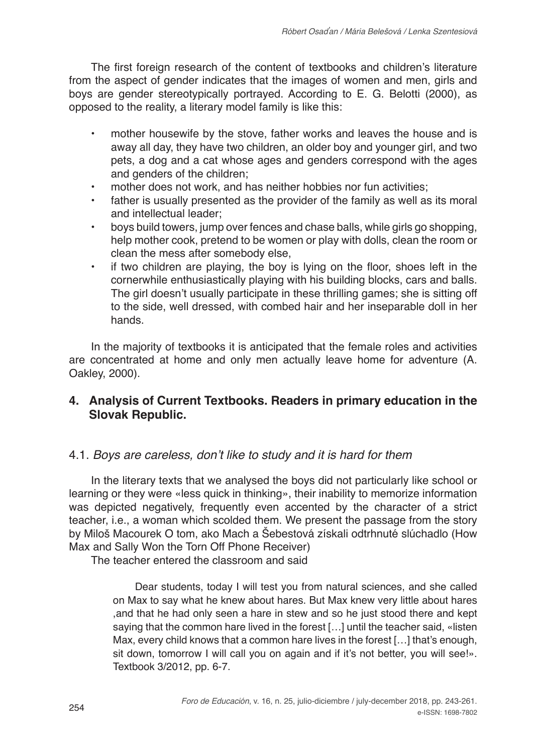The first foreign research of the content of textbooks and children's literature from the aspect of gender indicates that the images of women and men, girls and boys are gender stereotypically portrayed. According to E. G. Belotti (2000), as opposed to the reality, a literary model family is like this:

- **•** mother housewife by the stove, father works and leaves the house and is away all day, they have two children, an older boy and younger girl, and two pets, a dog and a cat whose ages and genders correspond with the ages and genders of the children;
- **•** mother does not work, and has neither hobbies nor fun activities;
- **•** father is usually presented as the provider of the family as well as its moral and intellectual leader;
- **•** boys build towers, jump over fences and chase balls, while girls go shopping, help mother cook, pretend to be women or play with dolls, clean the room or clean the mess after somebody else,
- **•** if two children are playing, the boy is lying on the floor, shoes left in the cornerwhile enthusiastically playing with his building blocks, cars and balls. The girl doesn't usually participate in these thrilling games; she is sitting off to the side, well dressed, with combed hair and her inseparable doll in her hands.

In the majority of textbooks it is anticipated that the female roles and activities are concentrated at home and only men actually leave home for adventure (A. Oakley, 2000).

# **4. Analysis of Current Textbooks. Readers in primary education in the Slovak Republic.**

## 4.1. Boys are careless, don't like to study and it is hard for them

In the literary texts that we analysed the boys did not particularly like school or learning or they were «less quick in thinking», their inability to memorize information was depicted negatively, frequently even accented by the character of a strict teacher, i.e., a woman which scolded them. We present the passage from the story by Miloš Macourek O tom, ako Mach a Šebestová získali odtrhnuté slúchadlo (How Max and Sally Won the Torn Off Phone Receiver)

The teacher entered the classroom and said

Dear students, today I will test you from natural sciences, and she called on Max to say what he knew about hares. But Max knew very little about hares ,and that he had only seen a hare in stew and so he just stood there and kept saying that the common hare lived in the forest [...] until the teacher said, «listen Max, every child knows that a common hare lives in the forest […] that's enough, sit down, tomorrow I will call you on again and if it's not better, you will see!». Textbook 3/2012, pp. 6-7.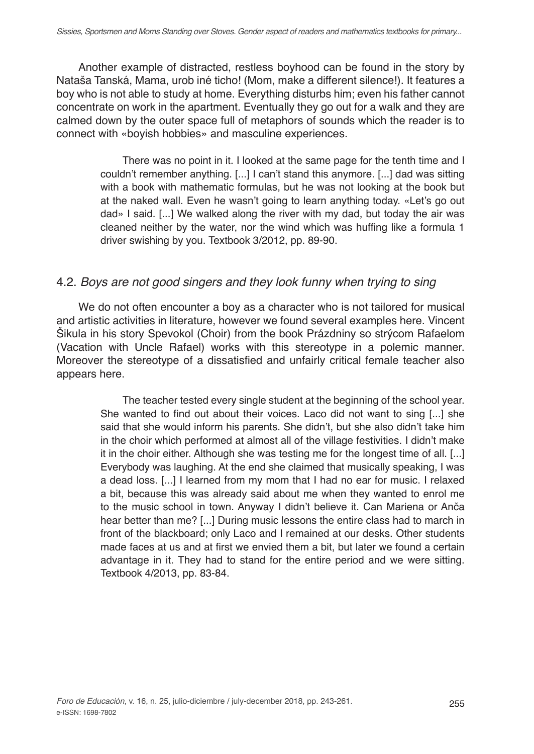Another example of distracted, restless boyhood can be found in the story by Nataša Tanská, Mama, urob iné ticho! (Mom, make a different silence!). It features a boy who is not able to study at home. Everything disturbs him; even his father cannot concentrate on work in the apartment. Eventually they go out for a walk and they are calmed down by the outer space full of metaphors of sounds which the reader is to connect with «boyish hobbies» and masculine experiences.

> There was no point in it. I looked at the same page for the tenth time and I couldn't remember anything. [...] I can't stand this anymore. [...] dad was sitting with a book with mathematic formulas, but he was not looking at the book but at the naked wall. Even he wasn't going to learn anything today. «Let's go out dad» I said. [...] We walked along the river with my dad, but today the air was cleaned neither by the water, nor the wind which was huffing like a formula 1 driver swishing by you. Textbook 3/2012, pp. 89-90.

#### 4.2. *Boys are not good singers and they look funny when trying to sing*

We do not often encounter a boy as a character who is not tailored for musical and artistic activities in literature, however we found several examples here. Vincent Šikula in his story Spevokol (Choir) from the book Prázdniny so strýcom Rafaelom (Vacation with Uncle Rafael) works with this stereotype in a polemic manner. Moreover the stereotype of a dissatisfied and unfairly critical female teacher also appears here.

> The teacher tested every single student at the beginning of the school year. She wanted to find out about their voices. Laco did not want to sing [...] she said that she would inform his parents. She didn't, but she also didn't take him in the choir which performed at almost all of the village festivities. I didn't make it in the choir either. Although she was testing me for the longest time of all. [...] Everybody was laughing. At the end she claimed that musically speaking, I was a dead loss. [...] I learned from my mom that I had no ear for music. I relaxed a bit, because this was already said about me when they wanted to enrol me to the music school in town. Anyway I didn't believe it. Can Mariena or Anča hear better than me? [...] During music lessons the entire class had to march in front of the blackboard; only Laco and I remained at our desks. Other students made faces at us and at first we envied them a bit, but later we found a certain advantage in it. They had to stand for the entire period and we were sitting. Textbook 4/2013, pp. 83-84.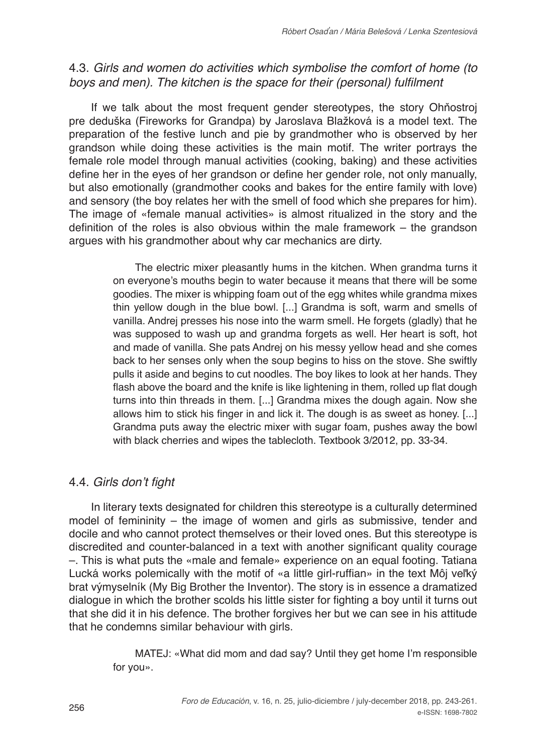# 4.3. *Girls and women do activities which symbolise the comfort of home (to*  boys and men). The kitchen is the space for their (personal) fulfilment

If we talk about the most frequent gender stereotypes, the story Ohňostroj pre deduška (Fireworks for Grandpa) by Jaroslava Blažková is a model text. The preparation of the festive lunch and pie by grandmother who is observed by her grandson while doing these activities is the main motif. The writer portrays the female role model through manual activities (cooking, baking) and these activities define her in the eyes of her grandson or define her gender role, not only manually, but also emotionally (grandmother cooks and bakes for the entire family with love) and sensory (the boy relates her with the smell of food which she prepares for him). The image of «female manual activities» is almost ritualized in the story and the definition of the roles is also obvious within the male framework – the grandson argues with his grandmother about why car mechanics are dirty.

> The electric mixer pleasantly hums in the kitchen. When grandma turns it on everyone's mouths begin to water because it means that there will be some goodies. The mixer is whipping foam out of the egg whites while grandma mixes thin yellow dough in the blue bowl. [...] Grandma is soft, warm and smells of vanilla. Andrej presses his nose into the warm smell. He forgets (gladly) that he was supposed to wash up and grandma forgets as well. Her heart is soft, hot and made of vanilla. She pats Andrej on his messy yellow head and she comes back to her senses only when the soup begins to hiss on the stove. She swiftly pulls it aside and begins to cut noodles. The boy likes to look at her hands. They flash above the board and the knife is like lightening in them, rolled up flat dough turns into thin threads in them. [...] Grandma mixes the dough again. Now she allows him to stick his finger in and lick it. The dough is as sweet as honey. [...] Grandma puts away the electric mixer with sugar foam, pushes away the bowl with black cherries and wipes the tablecloth. Textbook 3/2012, pp. 33-34.

# 4.4. Girls don't fight

In literary texts designated for children this stereotype is a culturally determined model of femininity – the image of women and girls as submissive, tender and docile and who cannot protect themselves or their loved ones. But this stereotype is discredited and counter-balanced in a text with another significant quality courage –. This is what puts the «male and female» experience on an equal footing. Tatiana Lucká works polemically with the motif of «a little girl-ruffian» in the text Môj veľký brat výmyselník (My Big Brother the Inventor). The story is in essence a dramatized dialogue in which the brother scolds his little sister for fighting a boy until it turns out that she did it in his defence. The brother forgives her but we can see in his attitude that he condemns similar behaviour with girls.

> MATEJ: «What did mom and dad say? Until they get home I'm responsible for you».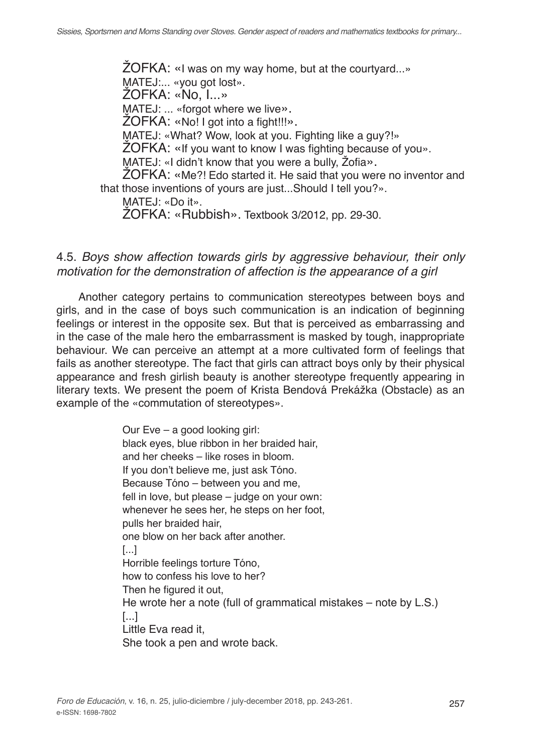ŽOFKA: «I was on my way home, but at the courtyard...» MATEJ:... «you got lost». ŽOFKA: «No, I...» MATEJ: ... «forgot where we live». ZOFKA: «No! I got into a fight!!!». MATEJ: «What? Wow, look at you. Fighting like a guy?!» ŽOFKA: «If you want to know I was fighting because of you». MATEJ: «I didn't know that you were a bully, Žofia». ŽOFKA: «Me?! Edo started it. He said that you were no inventor and that those inventions of yours are just...Should I tell you?».

MATEJ: «Do it».

ŽOFKA: «Rubbish». Textbook 3/2012, pp. 29-30.

#### 4.5. *Boys show affection towards girls by aggressive behaviour, their only motivation for the demonstration of affection is the appearance of a girl*

Another category pertains to communication stereotypes between boys and girls, and in the case of boys such communication is an indication of beginning feelings or interest in the opposite sex. But that is perceived as embarrassing and in the case of the male hero the embarrassment is masked by tough, inappropriate behaviour. We can perceive an attempt at a more cultivated form of feelings that fails as another stereotype. The fact that girls can attract boys only by their physical appearance and fresh girlish beauty is another stereotype frequently appearing in literary texts. We present the poem of Krista Bendová Prekážka (Obstacle) as an example of the «commutation of stereotypes».

> Our Eve – a good looking girl: black eyes, blue ribbon in her braided hair, and her cheeks – like roses in bloom. If you don't believe me, just ask Tóno. Because Tóno – between you and me, fell in love, but please – judge on your own: whenever he sees her, he steps on her foot, pulls her braided hair, one blow on her back after another. [...] Horrible feelings torture Tóno, how to confess his love to her? Then he figured it out, He wrote her a note (full of grammatical mistakes – note by L.S.) [...] Little Eva read it, She took a pen and wrote back.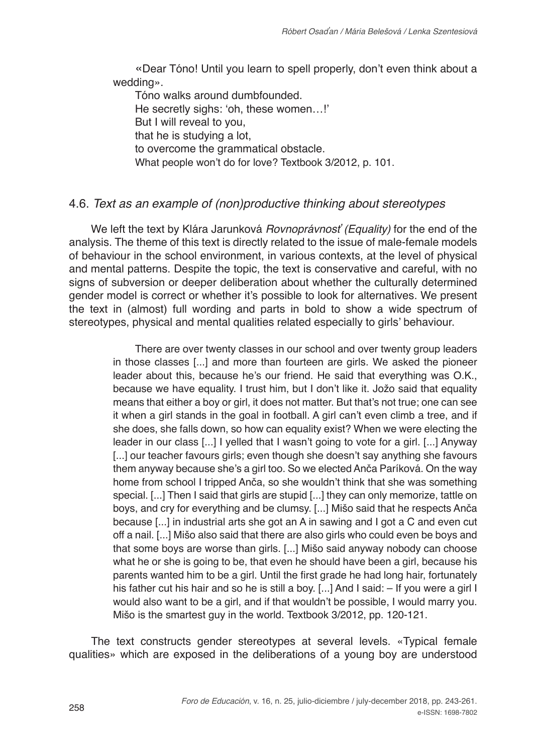«Dear Tóno! Until you learn to spell properly, don't even think about a wedding».

Tóno walks around dumbfounded. He secretly sighs: 'oh, these women…!' But I will reveal to you, that he is studying a lot, to overcome the grammatical obstacle. What people won't do for love? Textbook 3/2012, p. 101.

# 4.6. *Text as an example of (non)productive thinking about stereotypes*

We left the text by Klára Jarunková *Rovnoprávnosť (Equality)* for the end of the analysis. The theme of this text is directly related to the issue of male-female models of behaviour in the school environment, in various contexts, at the level of physical and mental patterns. Despite the topic, the text is conservative and careful, with no signs of subversion or deeper deliberation about whether the culturally determined gender model is correct or whether it's possible to look for alternatives. We present the text in (almost) full wording and parts in bold to show a wide spectrum of stereotypes, physical and mental qualities related especially to girls' behaviour.

> There are over twenty classes in our school and over twenty group leaders in those classes [...] and more than fourteen are girls. We asked the pioneer leader about this, because he's our friend. He said that everything was O.K., because we have equality. I trust him, but I don't like it. Jožo said that equality means that either a boy or girl, it does not matter. But that's not true; one can see it when a girl stands in the goal in football. A girl can't even climb a tree, and if she does, she falls down, so how can equality exist? When we were electing the leader in our class [...] I yelled that I wasn't going to vote for a girl. [...] Anyway [...] our teacher favours girls; even though she doesn't say anything she favours them anyway because she's a girl too. So we elected Anča Paríková. On the way home from school I tripped Anča, so she wouldn't think that she was something special. [...] Then I said that girls are stupid [...] they can only memorize, tattle on boys, and cry for everything and be clumsy. [...] Mišo said that he respects Anča because [...] in industrial arts she got an A in sawing and I got a C and even cut off a nail. [...] Mišo also said that there are also girls who could even be boys and that some boys are worse than girls. [...] Mišo said anyway nobody can choose what he or she is going to be, that even he should have been a girl, because his parents wanted him to be a girl. Until the first grade he had long hair, fortunately his father cut his hair and so he is still a boy. [...] And I said: - If you were a girl I would also want to be a girl, and if that wouldn't be possible, I would marry you. Mišo is the smartest guy in the world. Textbook 3/2012, pp. 120-121.

The text constructs gender stereotypes at several levels. «Typical female qualities» which are exposed in the deliberations of a young boy are understood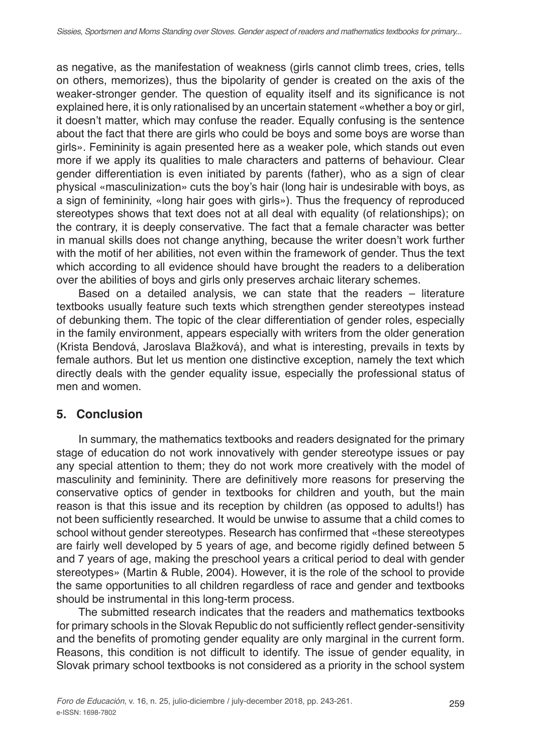as negative, as the manifestation of weakness (girls cannot climb trees, cries, tells on others, memorizes), thus the bipolarity of gender is created on the axis of the weaker-stronger gender. The question of equality itself and its significance is not explained here, it is only rationalised by an uncertain statement «whether a boy or girl, it doesn't matter, which may confuse the reader. Equally confusing is the sentence about the fact that there are girls who could be boys and some boys are worse than girls». Femininity is again presented here as a weaker pole, which stands out even more if we apply its qualities to male characters and patterns of behaviour. Clear gender differentiation is even initiated by parents (father), who as a sign of clear physical «masculinization» cuts the boy's hair (long hair is undesirable with boys, as a sign of femininity, «long hair goes with girls»). Thus the frequency of reproduced stereotypes shows that text does not at all deal with equality (of relationships); on the contrary, it is deeply conservative. The fact that a female character was better in manual skills does not change anything, because the writer doesn't work further with the motif of her abilities, not even within the framework of gender. Thus the text which according to all evidence should have brought the readers to a deliberation over the abilities of boys and girls only preserves archaic literary schemes.

Based on a detailed analysis, we can state that the readers – literature textbooks usually feature such texts which strengthen gender stereotypes instead of debunking them. The topic of the clear differentiation of gender roles, especially in the family environment, appears especially with writers from the older generation (Krista Bendová, Jaroslava Blažková), and what is interesting, prevails in texts by female authors. But let us mention one distinctive exception, namely the text which directly deals with the gender equality issue, especially the professional status of men and women.

# **5. Conclusion**

In summary, the mathematics textbooks and readers designated for the primary stage of education do not work innovatively with gender stereotype issues or pay any special attention to them; they do not work more creatively with the model of masculinity and femininity. There are definitively more reasons for preserving the conservative optics of gender in textbooks for children and youth, but the main reason is that this issue and its reception by children (as opposed to adults!) has not been sufficiently researched. It would be unwise to assume that a child comes to school without gender stereotypes. Research has confirmed that «these stereotypes are fairly well developed by 5 years of age, and become rigidly defined between 5 and 7 years of age, making the preschool years a critical period to deal with gender stereotypes» (Martin & Ruble, 2004). However, it is the role of the school to provide the same opportunities to all children regardless of race and gender and textbooks should be instrumental in this long-term process.

The submitted research indicates that the readers and mathematics textbooks for primary schools in the Slovak Republic do not sufficiently reflect gender-sensitivity and the benefits of promoting gender equality are only marginal in the current form. Reasons, this condition is not difficult to identify. The issue of gender equality, in Slovak primary school textbooks is not considered as a priority in the school system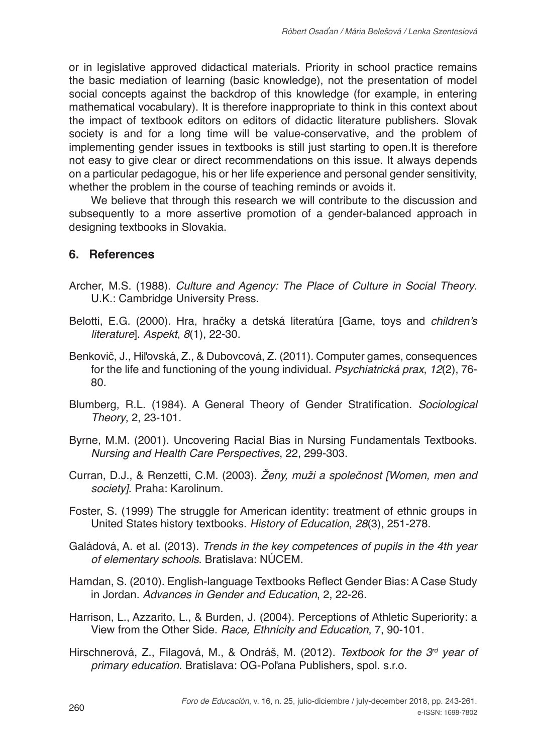or in legislative approved didactical materials. Priority in school practice remains the basic mediation of learning (basic knowledge), not the presentation of model social concepts against the backdrop of this knowledge (for example, in entering mathematical vocabulary). It is therefore inappropriate to think in this context about the impact of textbook editors on editors of didactic literature publishers. Slovak society is and for a long time will be value-conservative, and the problem of implementing gender issues in textbooks is still just starting to open.It is therefore not easy to give clear or direct recommendations on this issue. It always depends on a particular pedagogue, his or her life experience and personal gender sensitivity, whether the problem in the course of teaching reminds or avoids it.

We believe that through this research we will contribute to the discussion and subsequently to a more assertive promotion of a gender-balanced approach in designing textbooks in Slovakia.

#### **6. References**

- Archer, M.S. (1988). *Culture and Agency: The Place of Culture in Social Theory*. U.K.: Cambridge University Press.
- Belotti, E.G. (2000). Hra, hračky a detská literatúra [Game, toys and *children's literature*]. *Aspekt*, *8*(1), 22-30.
- Benkovič, J., Hiľovská, Z., & Dubovcová, Z. (2011). Computer games, consequences for the life and functioning of the young individual. *Psychiatrická prax*, *12*(2), 76- 80.
- Blumberg, R.L. (1984). A General Theory of Gender Stratification. *Sociological Theory*, 2, 23-101.
- Byrne, M.M. (2001). Uncovering Racial Bias in Nursing Fundamentals Textbooks. *Nursing and Health Care Perspectives*, 22, 299-303.
- Curran, D.J., & Renzetti, C.M. (2003). Ženy, muži a společnost *[Women, men and society]*. Praha: Karolinum.
- Foster, S. (1999) The struggle for American identity: treatment of ethnic groups in United States history textbooks. *History of Education*, *28*(3), 251-278.
- Galádová, A. et al. (2013). *Trends in the key competences of pupils in the 4th year of elementary schools*. Bratislava: NÚCEM.
- Hamdan, S. (2010). English-language Textbooks Reflect Gender Bias: A Case Study in Jordan. *Advances in Gender and Education*, 2, 22-26.
- Harrison, L., Azzarito, L., & Burden, J. (2004). Perceptions of Athletic Superiority: a View from the Other Side. *Race, Ethnicity and Education*, 7, 90-101.
- Hirschnerová, Z., Filagová, M., & Ondráš, M. (2012). *Textbook for the 3rd year of primary education*. Bratislava: OG-Poľana Publishers, spol. s.r.o.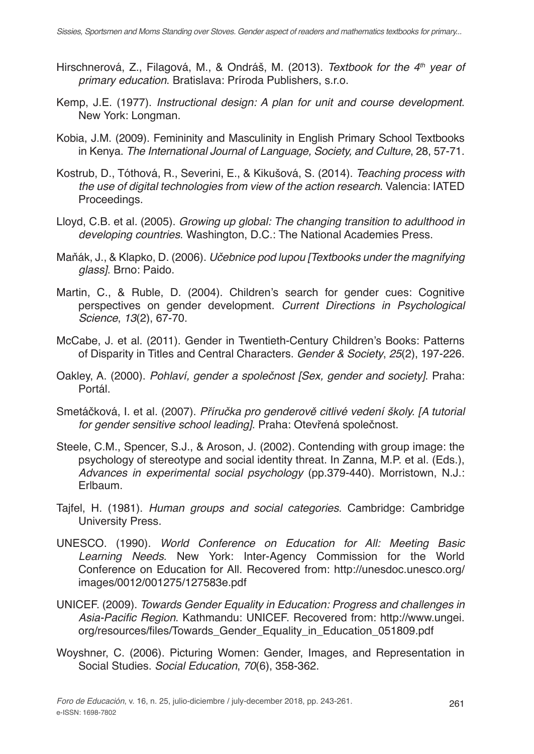- Hirschnerová, Z., Filagová, M., & Ondráš, M. (2013). *Textbook for the 4th year of primary education*. Bratislava: Príroda Publishers, s.r.o.
- Kemp, J.E. (1977). *Instructional design: A plan for unit and course development*. New York: Longman.
- Kobia, J.M. (2009). Femininity and Masculinity in English Primary School Textbooks in Kenya. *The International Journal of Language, Society, and Culture*, 28, 57-71.
- Kostrub, D., Tóthová, R., Severini, E., & Kikušová, S. (2014). *Teaching process with the use of digital technologies from view of the action research*. Valencia: IATED Proceedings.
- Lloyd, C.B. et al. (2005). *Growing up global: The changing transition to adulthood in developing countries*. Washington, D.C.: The National Academies Press.
- Maňák, J., & Klapko, D. (2006). Učebnice pod lupou [Textbooks under the magnifying *glass]*. Brno: Paido.
- Martin, C., & Ruble, D. (2004). Children's search for gender cues: Cognitive perspectives on gender development. *Current Directions in Psychological Science*, *13*(2), 67-70.
- McCabe, J. et al. (2011). Gender in Twentieth-Century Children's Books: Patterns of Disparity in Titles and Central Characters. *Gender & Society*, *25*(2), 197-226.
- Oakley, A. (2000). Pohlaví, gender a společnost [Sex, gender and society]. Praha: Portál.
- Smetáčková, I. et al. (2007). Příručka pro genderově citlivé vedení školy. [A tutorial *for gender sensitive school leading]*. Praha: Otevřená společnost.
- Steele, C.M., Spencer, S.J., & Aroson, J. (2002). Contending with group image: the psychology of stereotype and social identity threat. In Zanna, M.P. et al. (Eds.), *Advances in experimental social psychology* (pp.379-440). Morristown, N.J.: Erlbaum.
- Tajfel, H. (1981). *Human groups and social categories*. Cambridge: Cambridge University Press.
- UNESCO. (1990). *World Conference on Education for All: Meeting Basic Learning Needs*. New York: Inter-Agency Commission for the World Conference on Education for All. Recovered from: http://unesdoc.unesco.org/ images/0012/001275/127583e.pdf
- UNICEF. (2009). Towards Gender Equality in Education: Progress and challenges in Asia-Pacific Region. Kathmandu: UNICEF. Recovered from: http://www.ungei. org/resources/files/Towards\_Gender\_Equality\_in\_Education\_051809.pdf
- Woyshner, C. (2006). Picturing Women: Gender, Images, and Representation in Social Studies. *Social Education*, *70*(6), 358-362.